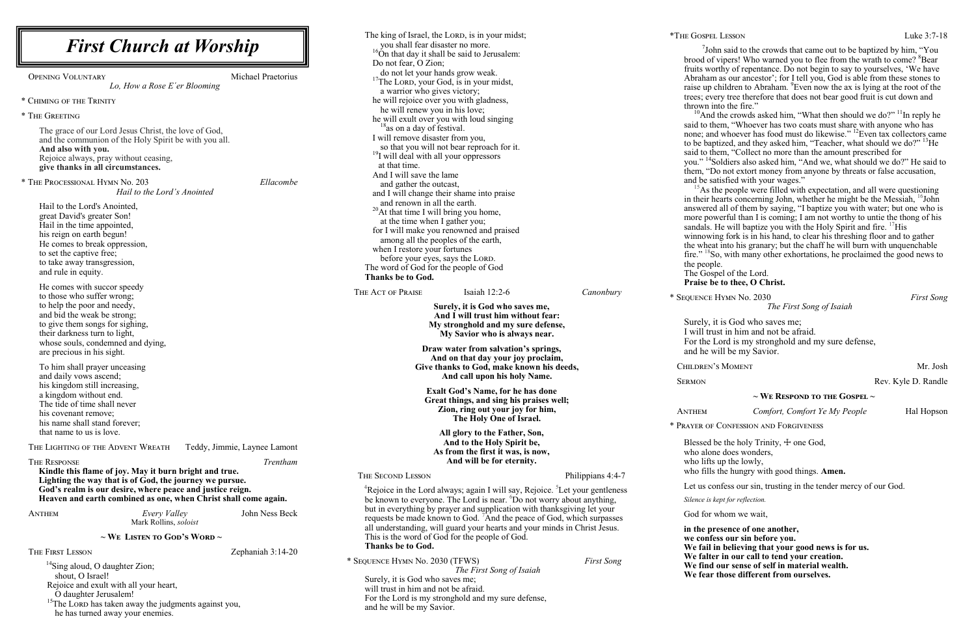**in the sence of one another, we conferred sin before you.** In believing that your good news is for us. **we falle in our call to tend your creation.** our sense of self in material wealth. **We fear those different from ourselves.**

| <b>First Church at Worship</b>                                                                                               |                              | you shall fear disaster no more.                                                                                                                             | The king of Israel, the LORD, is in your midst;<br><sup>16</sup> On that day it shall be said to Jerusalem: |                             | *THE GOSPEL L<br>$7$ John   |
|------------------------------------------------------------------------------------------------------------------------------|------------------------------|--------------------------------------------------------------------------------------------------------------------------------------------------------------|-------------------------------------------------------------------------------------------------------------|-----------------------------|-----------------------------|
|                                                                                                                              |                              | Do not fear, O Zion;                                                                                                                                         |                                                                                                             | brood of vi<br>fruits worth |                             |
| Michael Praetorius<br><b>OPENING VOLUNTARY</b>                                                                               |                              | do not let your hands grow weak.                                                                                                                             |                                                                                                             |                             | Abraham as                  |
| Lo, How a Rose E'er Blooming                                                                                                 |                              | <sup>17</sup> The LORD, your God, is in your midst,                                                                                                          |                                                                                                             |                             | raise up chi                |
|                                                                                                                              |                              | a warrior who gives victory;                                                                                                                                 |                                                                                                             | trees; every                |                             |
| * CHIMING OF THE TRINITY                                                                                                     |                              | he will rejoice over you with gladness,<br>he will renew you in his love;                                                                                    |                                                                                                             | thrown into                 |                             |
| * THE GREETING                                                                                                               |                              | he will exult over you with loud singing                                                                                                                     |                                                                                                             |                             | $^{10}$ And th              |
|                                                                                                                              |                              | <sup>18</sup> as on a day of festival.                                                                                                                       |                                                                                                             |                             | said to then                |
| The grace of our Lord Jesus Christ, the love of God,<br>and the communion of the Holy Spirit be with you all.                |                              | I will remove disaster from you,<br>so that you will not bear reproach for it.                                                                               |                                                                                                             | none; and v                 |                             |
| And also with you.                                                                                                           |                              |                                                                                                                                                              |                                                                                                             | to be baptiz                |                             |
| Rejoice always, pray without ceasing,                                                                                        |                              | <sup>19</sup> I will deal with all your oppressors                                                                                                           |                                                                                                             |                             | said to then                |
| give thanks in all circumstances.                                                                                            |                              | at that time.                                                                                                                                                |                                                                                                             |                             | you." <sup>14</sup> Sole    |
|                                                                                                                              |                              | And I will save the lame                                                                                                                                     |                                                                                                             |                             | them, "Do 1<br>and be satis |
| * THE PROCESSIONAL HYMN No. 203                                                                                              | Ellacombe                    | and gather the outcast,                                                                                                                                      |                                                                                                             |                             | $15\text{As}$ the           |
| Hail to the Lord's Anointed                                                                                                  |                              |                                                                                                                                                              | and I will change their shame into praise                                                                   |                             | in their hear               |
| Hail to the Lord's Anointed,                                                                                                 |                              | and renown in all the earth.                                                                                                                                 |                                                                                                             |                             | answered a                  |
| great David's greater Son!                                                                                                   |                              | <sup>20</sup> At that time I will bring you home,<br>at the time when I gather you;                                                                          |                                                                                                             |                             | more power                  |
| Hail in the time appointed,                                                                                                  |                              |                                                                                                                                                              |                                                                                                             |                             | sandals. He                 |
| his reign on earth begun!                                                                                                    |                              | for I will make you renowned and praised<br>among all the peoples of the earth,<br>when I restore your fortunes                                              |                                                                                                             | winnowing                   |                             |
| He comes to break oppression,                                                                                                |                              |                                                                                                                                                              |                                                                                                             | the wheat in                |                             |
| to take away transgression,                                                                                                  | to set the captive free;     |                                                                                                                                                              | before your eyes, says the LORD.                                                                            |                             | fire." $^{18}$ So,          |
| and rule in equity.                                                                                                          |                              | The word of God for the people of God                                                                                                                        |                                                                                                             |                             | the people.                 |
|                                                                                                                              |                              | Thanks be to God.                                                                                                                                            |                                                                                                             |                             | The Gospel<br>Praise be to  |
| He comes with succor speedy                                                                                                  |                              | THE ACT OF PRAISE                                                                                                                                            | Isaiah 12:2-6                                                                                               | Canonbury                   |                             |
| to those who suffer wrong;                                                                                                   |                              |                                                                                                                                                              |                                                                                                             |                             | * SEQUENCE HY               |
| to help the poor and needy,                                                                                                  |                              |                                                                                                                                                              | Surely, it is God who saves me,                                                                             |                             |                             |
| and bid the weak be strong;                                                                                                  |                              | And I will trust him without fear:<br>My stronghold and my sure defense,                                                                                     |                                                                                                             | Surely, it is               |                             |
| to give them songs for sighing,<br>their darkness turn to light,                                                             |                              |                                                                                                                                                              |                                                                                                             | I will trust                |                             |
| whose souls, condemned and dying,                                                                                            |                              |                                                                                                                                                              | My Savior who is always near.                                                                               |                             | For the Lor                 |
| are precious in his sight.                                                                                                   |                              |                                                                                                                                                              | Draw water from salvation's springs,                                                                        |                             | and he will                 |
|                                                                                                                              |                              |                                                                                                                                                              | And on that day your joy proclaim,                                                                          |                             |                             |
| To him shall prayer unceasing                                                                                                |                              | Give thanks to God, make known his deeds,                                                                                                                    |                                                                                                             | CHILDREN'S N                |                             |
| and daily vows ascend;                                                                                                       |                              |                                                                                                                                                              | And call upon his holy Name.                                                                                |                             | <b>SERMON</b>               |
| his kingdom still increasing,<br>a kingdom without end.                                                                      |                              |                                                                                                                                                              | <b>Exalt God's Name, for he has done</b>                                                                    |                             |                             |
| The tide of time shall never                                                                                                 |                              | Great things, and sing his praises well;                                                                                                                     |                                                                                                             |                             |                             |
| his covenant remove;                                                                                                         |                              | Zion, ring out your joy for him,                                                                                                                             |                                                                                                             | <b>ANTHEM</b>               |                             |
| his name shall stand forever;                                                                                                |                              |                                                                                                                                                              | The Holy One of Israel.                                                                                     |                             | * PRAYER OF CO              |
| that name to us is love.                                                                                                     |                              |                                                                                                                                                              | All glory to the Father, Son,                                                                               |                             |                             |
| THE LIGHTING OF THE ADVENT WREATH                                                                                            |                              |                                                                                                                                                              | And to the Holy Spirit be,                                                                                  |                             | Blessed be                  |
|                                                                                                                              | Teddy, Jimmie, Laynee Lamont |                                                                                                                                                              | As from the first it was, is now,                                                                           |                             | who alone o                 |
| <b>THE RESPONSE</b>                                                                                                          | Trentham                     |                                                                                                                                                              | And will be for eternity.                                                                                   |                             | who lifts up                |
| Kindle this flame of joy. May it burn bright and true.                                                                       |                              | THE SECOND LESSON                                                                                                                                            |                                                                                                             | Philippians 4:4-7           | who fills th                |
| Lighting the way that is of God, the journey we pursue.                                                                      |                              |                                                                                                                                                              |                                                                                                             |                             | Let us conf                 |
| God's realm is our desire, where peace and justice reign.<br>Heaven and earth combined as one, when Christ shall come again. |                              |                                                                                                                                                              | <sup>4</sup> Rejoice in the Lord always; again I will say, Rejoice. <sup>5</sup> Let your gentleness        |                             |                             |
|                                                                                                                              |                              | be known to everyone. The Lord is near. <sup>6</sup> Do not worry about anything,<br>but in everything by prayer and supplication with thanksgiving let your |                                                                                                             |                             | Silence is kepi             |
| Every Valley<br><b>ANTHEM</b>                                                                                                | John Ness Beck               |                                                                                                                                                              |                                                                                                             |                             | God for wh                  |
| Mark Rollins, soloist                                                                                                        |                              | requests be made known to God. 'And the peace of God, which surpasses<br>all understanding, will guard your hearts and your minds in Christ Jesus.           |                                                                                                             | in the prese                |                             |
| $\sim$ We Listen to God's Word $\sim$                                                                                        |                              |                                                                                                                                                              | This is the word of God for the people of God.                                                              |                             | we confess                  |
|                                                                                                                              |                              | Thanks be to God.                                                                                                                                            |                                                                                                             |                             | We fail in                  |
| <b>THE FIRST LESSON</b>                                                                                                      | Zephaniah 3:14-20            |                                                                                                                                                              |                                                                                                             |                             | We falter i                 |
| <sup>14</sup> Sing aloud, O daughter Zion;                                                                                   |                              | * SEQUENCE HYMN No. 2030 (TFWS)                                                                                                                              |                                                                                                             | <b>First Song</b>           | We find ou                  |
| shout, O Israel!                                                                                                             |                              | Surely, it is God who saves me;                                                                                                                              | The First Song of Isaiah                                                                                    |                             | We fear th                  |
| Rejoice and exult with all your heart,                                                                                       |                              | will trust in him and not be afraid.                                                                                                                         |                                                                                                             |                             |                             |
| O daughter Jerusalem!                                                                                                        |                              |                                                                                                                                                              | For the Lord is my stronghold and my sure defense,                                                          |                             |                             |
| <sup>15</sup> The LORD has taken away the judgments against you,                                                             |                              | and he will be my Savior.                                                                                                                                    |                                                                                                             |                             |                             |
| he has turned away your enemies.                                                                                             |                              |                                                                                                                                                              |                                                                                                             |                             |                             |

In said to the crowds that came out to be baptized by him, "You brood of vipers! Who warned you to flee from the wrath to come? <sup>8</sup>Bear rthy of repentance. Do not begin to say to yourselves, 'We have as our ancestor'; for I tell you, God is able from these stones to children to Abraham.  $^{9}$ Even now the ax is lying at the root of the try tree therefore that does not bear good fruit is cut down and to the fire."

 $10$ And the crowds asked him, "What then should we do?"  $11$ In reply he em, "Whoever has two coats must share with anyone who has none; and whoever has food must do likewise." <sup>12</sup>Even tax collectors came to be baptized, and they asked him, "Teacher, what should we do?" <sup>13</sup>He em, "Collect no more than the amount prescribed for

oldiers also asked him, "And we, what should we do?" He said to the not extort money from anyone by threats or false accusation, tisfied with your wages."

ne people were filled with expectation, and all were questioning in their hearts concerning John, whether he might be the Messiah, <sup>16</sup>John all of them by saying, "I baptize you with water; but one who is verful than I is coming; I am not worthy to untie the thong of his sandals. He will baptize you with the Holy Spirit and fire. <sup>17</sup>His

ing fork is in his hand, to clear his threshing floor and to gather into his granary; but the chaff he will burn with unquenchable b, with many other exhortations, he proclaimed the good news to

el of the Lord. **to thee, O Christ.** 

\* Sequence Hymn No. 2030 *First Song*

*The First Song of Isaiah*

is God who saves me: Ist in him and not be afraid. Lord is my stronghold and my sure defense, vill be my Savior.

SMOMENT Mr. Josh

Rev. Kyle D. Randle

## **~ We Respond to the Gospel ~**

*Comfort, Comfort Ye My People* Hal Hopson

CONFESSION AND FORGIVENESS

be the holy Trinity,  $\pm$  one God, e does wonders, up the lowly, the hungry with good things. **Amen.** 

nfess our sin, trusting in the tender mercy of our God.

 $ept$  for reflection.

vhom we wait,